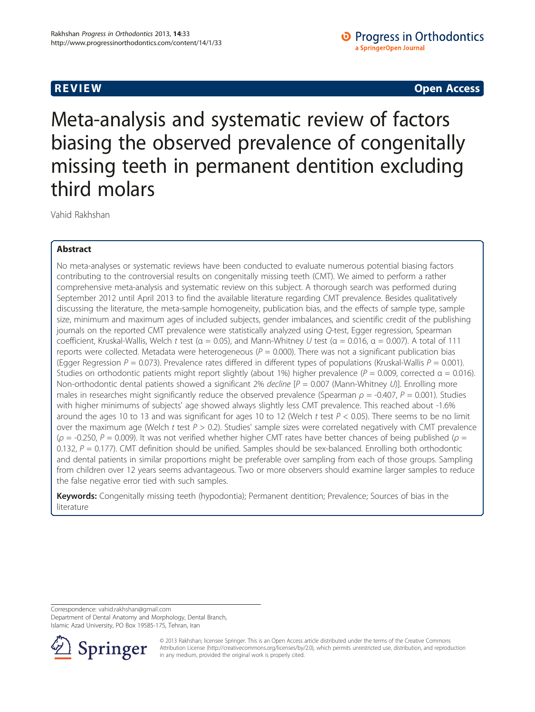**REVIEW REVIEW CONSTRUCTER CONSTRUCTION** 

Meta-analysis and systematic review of factors biasing the observed prevalence of congenitally missing teeth in permanent dentition excluding third molars

Vahid Rakhshan

# Abstract

No meta-analyses or systematic reviews have been conducted to evaluate numerous potential biasing factors contributing to the controversial results on congenitally missing teeth (CMT). We aimed to perform a rather comprehensive meta-analysis and systematic review on this subject. A thorough search was performed during September 2012 until April 2013 to find the available literature regarding CMT prevalence. Besides qualitatively discussing the literature, the meta-sample homogeneity, publication bias, and the effects of sample type, sample size, minimum and maximum ages of included subjects, gender imbalances, and scientific credit of the publishing journals on the reported CMT prevalence were statistically analyzed using Q-test, Egger regression, Spearman coefficient, Kruskal-Wallis, Welch t test ( $\alpha = 0.05$ ), and Mann-Whitney U test ( $\alpha = 0.016$ ,  $\alpha = 0.007$ ). A total of 111 reports were collected. Metadata were heterogeneous ( $P = 0.000$ ). There was not a significant publication bias (Egger Regression  $P = 0.073$ ). Prevalence rates differed in different types of populations (Kruskal-Wallis  $P = 0.001$ ). Studies on orthodontic patients might report slightly (about 1%) higher prevalence ( $P = 0.009$ , corrected  $\alpha = 0.016$ ). Non-orthodontic dental patients showed a significant 2% decline  $[P = 0.007$  (Mann-Whitney U)]. Enrolling more males in researches might significantly reduce the observed prevalence (Spearman  $\rho = -0.407$ ,  $P = 0.001$ ). Studies with higher minimums of subjects' age showed always slightly less CMT prevalence. This reached about -1.6% around the ages 10 to 13 and was significant for ages 10 to 12 (Welch t test  $P < 0.05$ ). There seems to be no limit over the maximum age (Welch  $t$  test  $P > 0.2$ ). Studies' sample sizes were correlated negatively with CMT prevalence ( $\rho$  = -0.250, P = 0.009). It was not verified whether higher CMT rates have better chances of being published ( $\rho$  = 0.132,  $P = 0.177$ ). CMT definition should be unified. Samples should be sex-balanced. Enrolling both orthodontic and dental patients in similar proportions might be preferable over sampling from each of those groups. Sampling from children over 12 years seems advantageous. Two or more observers should examine larger samples to reduce the false negative error tied with such samples.

Keywords: Congenitally missing teeth (hypodontia); Permanent dentition; Prevalence; Sources of bias in the literature

Correspondence: [vahid.rakhshan@gmail.com](mailto:vahid.rakhshan@gmail.com)

Department of Dental Anatomy and Morphology, Dental Branch, Islamic Azad University, PO Box 19585-175, Tehran, Iran



© 2013 Rakhshan; licensee Springer. This is an Open Access article distributed under the terms of the Creative Commons Attribution License [\(http://creativecommons.org/licenses/by/2.0\)](http://creativecommons.org/licenses/by/2.0), which permits unrestricted use, distribution, and reproduction in any medium, provided the original work is properly cited.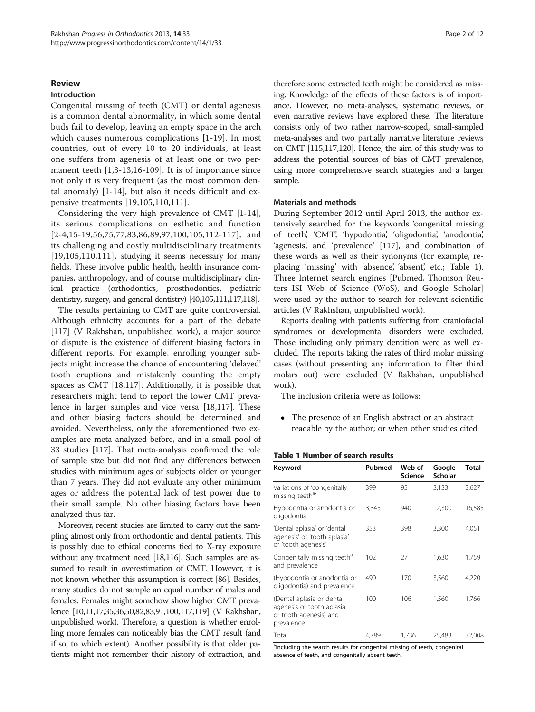# <span id="page-1-0"></span>Review

## Introduction

Congenital missing of teeth (CMT) or dental agenesis is a common dental abnormality, in which some dental buds fail to develop, leaving an empty space in the arch which causes numerous complications [[1-19\]](#page-9-0). In most countries, out of every 10 to 20 individuals, at least one suffers from agenesis of at least one or two permanent teeth [[1,3](#page-9-0)-[13,16](#page-9-0)-[109](#page-11-0)]. It is of importance since not only it is very frequent (as the most common dental anomaly) [[1](#page-9-0)-[14\]](#page-9-0), but also it needs difficult and expensive treatments [[19,](#page-9-0)[105,110,111](#page-11-0)].

Considering the very high prevalence of CMT [[1-14](#page-9-0)], its serious complications on esthetic and function [[2](#page-9-0)-[4](#page-9-0),[15-19](#page-9-0),[56,75,77](#page-10-0),[83,86,89](#page-10-0),[97](#page-10-0),[100](#page-10-0)[,105,112-117](#page-11-0)], and its challenging and costly multidisciplinary treatments [[19](#page-9-0),[105](#page-11-0),[110](#page-11-0),[111](#page-11-0)], studying it seems necessary for many fields. These involve public health, health insurance companies, anthropology, and of course multidisciplinary clinical practice (orthodontics, prosthodontics, pediatric dentistry, surgery, and general dentistry) [\[40](#page-9-0)[,105,111,117,118](#page-11-0)].

The results pertaining to CMT are quite controversial. Although ethnicity accounts for a part of the debate [[117\]](#page-11-0) (V Rakhshan, unpublished work), a major source of dispute is the existence of different biasing factors in different reports. For example, enrolling younger subjects might increase the chance of encountering 'delayed' tooth eruptions and mistakenly counting the empty spaces as CMT [\[18](#page-9-0)[,117](#page-11-0)]. Additionally, it is possible that researchers might tend to report the lower CMT prevalence in larger samples and vice versa [\[18](#page-9-0)[,117](#page-11-0)]. These and other biasing factors should be determined and avoided. Nevertheless, only the aforementioned two examples are meta-analyzed before, and in a small pool of 33 studies [[117\]](#page-11-0). That meta-analysis confirmed the role of sample size but did not find any differences between studies with minimum ages of subjects older or younger than 7 years. They did not evaluate any other minimum ages or address the potential lack of test power due to their small sample. No other biasing factors have been analyzed thus far.

Moreover, recent studies are limited to carry out the sampling almost only from orthodontic and dental patients. This is possibly due to ethical concerns tied to X-ray exposure without any treatment need [\[18,](#page-9-0)[116\]](#page-11-0). Such samples are assumed to result in overestimation of CMT. However, it is not known whether this assumption is correct [\[86](#page-10-0)]. Besides, many studies do not sample an equal number of males and females. Females might somehow show higher CMT prevalence [[10,11,17,35,36,](#page-9-0)[50,82,83,91,100](#page-10-0)[,117,119](#page-11-0)] (V Rakhshan, unpublished work). Therefore, a question is whether enrolling more females can noticeably bias the CMT result (and if so, to which extent). Another possibility is that older patients might not remember their history of extraction, and

therefore some extracted teeth might be considered as missing. Knowledge of the effects of these factors is of importance. However, no meta-analyses, systematic reviews, or even narrative reviews have explored these. The literature consists only of two rather narrow-scoped, small-sampled meta-analyses and two partially narrative literature reviews on CMT [\[115,117,120](#page-11-0)]. Hence, the aim of this study was to address the potential sources of bias of CMT prevalence, using more comprehensive search strategies and a larger sample.

## Materials and methods

During September 2012 until April 2013, the author extensively searched for the keywords 'congenital missing of teeth', 'CMT', 'hypodontia', 'oligodontia', 'anodontia', 'agenesis', and 'prevalence' [[117\]](#page-11-0), and combination of these words as well as their synonyms (for example, replacing 'missing' with 'absence', 'absent', etc.; Table 1). Three Internet search engines [Pubmed, Thomson Reuters ISI Web of Science (WoS), and Google Scholar] were used by the author to search for relevant scientific articles (V Rakhshan, unpublished work).

Reports dealing with patients suffering from craniofacial syndromes or developmental disorders were excluded. Those including only primary dentition were as well excluded. The reports taking the rates of third molar missing cases (without presenting any information to filter third molars out) were excluded (V Rakhshan, unpublished work).

The inclusion criteria were as follows:

 The presence of an English abstract or an abstract readable by the author; or when other studies cited

# Table 1 Number of search results

| Keyword                                                                                        | Pubmed | Web of<br><b>Science</b> | Google<br>Scholar | Total  |
|------------------------------------------------------------------------------------------------|--------|--------------------------|-------------------|--------|
| Variations of 'congenitally<br>missing teeth <sup>a</sup> '                                    | 399    | 95                       | 3,133             | 3,627  |
| Hypodontia or anodontia or<br>oligodontia                                                      | 3,345  | 940                      | 12,300            | 16,585 |
| 'Dental aplasia' or 'dental<br>agenesis' or 'tooth aplasia'<br>or 'tooth agenesis'             | 353    | 398                      | 3,300             | 4,051  |
| Congenitally missing teeth <sup>a</sup><br>and prevalence                                      | 102    | 27                       | 1,630             | 1,759  |
| (Hypodontia or anodontia or<br>oligodontia) and prevalence                                     | 490    | 170                      | 3,560             | 4,220  |
| (Dental aplasia or dental<br>agenesis or tooth aplasia<br>or tooth agenesis) and<br>prevalence | 100    | 106                      | 1,560             | 1,766  |
| Total                                                                                          | 4,789  | 1,736                    | 25,483            | 32,008 |

<sup>a</sup>Including the search results for congenital missing of teeth, congenital absence of teeth, and congenitally absent teeth.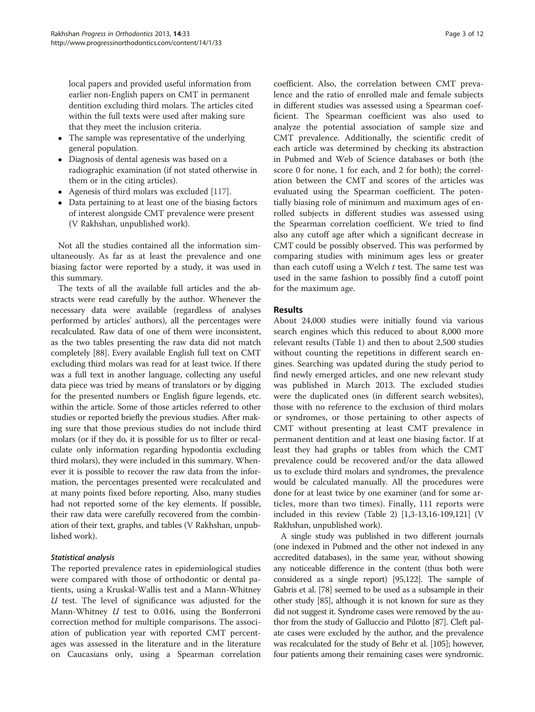local papers and provided useful information from earlier non-English papers on CMT in permanent dentition excluding third molars. The articles cited within the full texts were used after making sure that they meet the inclusion criteria.

- The sample was representative of the underlying general population.
- Diagnosis of dental agenesis was based on a radiographic examination (if not stated otherwise in them or in the citing articles).
- Agenesis of third molars was excluded [[117](#page-11-0)].
- Data pertaining to at least one of the biasing factors of interest alongside CMT prevalence were present (V Rakhshan, unpublished work).

Not all the studies contained all the information simultaneously. As far as at least the prevalence and one biasing factor were reported by a study, it was used in this summary.

The texts of all the available full articles and the abstracts were read carefully by the author. Whenever the necessary data were available (regardless of analyses performed by articles' authors), all the percentages were recalculated. Raw data of one of them were inconsistent, as the two tables presenting the raw data did not match completely [[88](#page-10-0)]. Every available English full text on CMT excluding third molars was read for at least twice. If there was a full text in another language, collecting any useful data piece was tried by means of translators or by digging for the presented numbers or English figure legends, etc. within the article. Some of those articles referred to other studies or reported briefly the previous studies. After making sure that those previous studies do not include third molars (or if they do, it is possible for us to filter or recalculate only information regarding hypodontia excluding third molars), they were included in this summary. Whenever it is possible to recover the raw data from the information, the percentages presented were recalculated and at many points fixed before reporting. Also, many studies had not reported some of the key elements. If possible, their raw data were carefully recovered from the combination of their text, graphs, and tables (V Rakhshan, unpublished work).

# Statistical analysis

The reported prevalence rates in epidemiological studies were compared with those of orthodontic or dental patients, using a Kruskal-Wallis test and a Mann-Whitney  $U$  test. The level of significance was adjusted for the Mann-Whitney  $U$  test to 0.016, using the Bonferroni correction method for multiple comparisons. The association of publication year with reported CMT percentages was assessed in the literature and in the literature on Caucasians only, using a Spearman correlation

coefficient. Also, the correlation between CMT prevalence and the ratio of enrolled male and female subjects in different studies was assessed using a Spearman coefficient. The Spearman coefficient was also used to analyze the potential association of sample size and CMT prevalence. Additionally, the scientific credit of each article was determined by checking its abstraction in Pubmed and Web of Science databases or both (the score 0 for none, 1 for each, and 2 for both); the correlation between the CMT and scores of the articles was evaluated using the Spearman coefficient. The potentially biasing role of minimum and maximum ages of enrolled subjects in different studies was assessed using the Spearman correlation coefficient. We tried to find also any cutoff age after which a significant decrease in CMT could be possibly observed. This was performed by comparing studies with minimum ages less or greater than each cutoff using a Welch  $t$  test. The same test was used in the same fashion to possibly find a cutoff point for the maximum age.

# Results

About 24,000 studies were initially found via various search engines which this reduced to about 8,000 more relevant results (Table [1](#page-1-0)) and then to about 2,500 studies without counting the repetitions in different search engines. Searching was updated during the study period to find newly emerged articles, and one new relevant study was published in March 2013. The excluded studies were the duplicated ones (in different search websites), those with no reference to the exclusion of third molars or syndromes, or those pertaining to other aspects of CMT without presenting at least CMT prevalence in permanent dentition and at least one biasing factor. If at least they had graphs or tables from which the CMT prevalence could be recovered and/or the data allowed us to exclude third molars and syndromes, the prevalence would be calculated manually. All the procedures were done for at least twice by one examiner (and for some articles, more than two times). Finally, 111 reports were included in this review (Table [2](#page-3-0)) [\[1,3-13,16-](#page-9-0)[109](#page-11-0),[121](#page-11-0)] (V Rakhshan, unpublished work).

A single study was published in two different journals (one indexed in Pubmed and the other not indexed in any accredited databases), in the same year, without showing any noticeable difference in the content (thus both were considered as a single report) [\[95,](#page-10-0)[122\]](#page-11-0). The sample of Gabris et al. [[78\]](#page-10-0) seemed to be used as a subsample in their other study [\[85\]](#page-10-0), although it is not known for sure as they did not suggest it. Syndrome cases were removed by the author from the study of Galluccio and Pilotto [[87\]](#page-10-0). Cleft palate cases were excluded by the author, and the prevalence was recalculated for the study of Behr et al. [\[105](#page-11-0)]; however, four patients among their remaining cases were syndromic.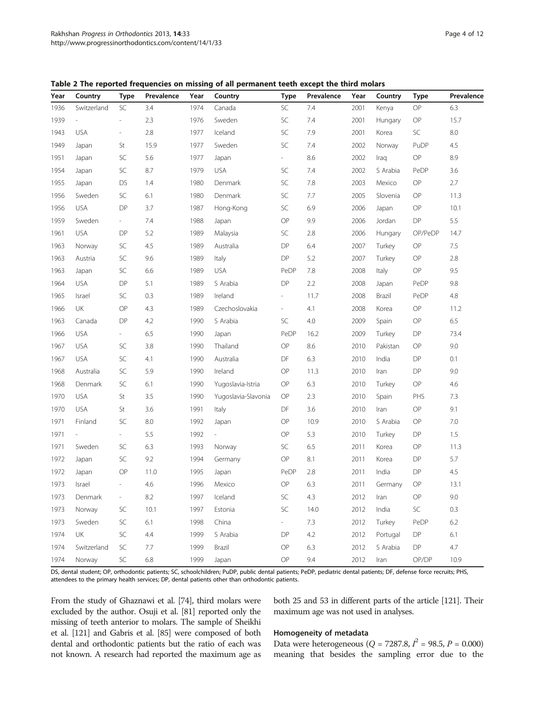<span id="page-3-0"></span>Table 2 The reported frequencies on missing of all permanent teeth except the third molars

| Year | Country                  | <b>Type</b>              | Prevalence | Year | Country             | <b>Type</b>              | Prevalence | Year | Country  | <b>Type</b>   | Prevalence |
|------|--------------------------|--------------------------|------------|------|---------------------|--------------------------|------------|------|----------|---------------|------------|
| 1936 | Switzerland              | SC                       | 3.4        | 1974 | Canada              | SC                       | 7.4        | 2001 | Kenya    | OP            | 6.3        |
| 1939 | $\overline{\phantom{a}}$ | $\overline{\phantom{a}}$ | 2.3        | 1976 | Sweden              | SC                       | 7.4        | 2001 | Hungary  | OP            | 15.7       |
| 1943 | <b>USA</b>               | $\overline{\phantom{a}}$ | 2.8        | 1977 | Iceland             | SC                       | 7.9        | 2001 | Korea    | SC            | 8.0        |
| 1949 | Japan                    | St                       | 15.9       | 1977 | Sweden              | SC                       | 7.4        | 2002 | Norway   | PuDP          | 4.5        |
| 1951 | Japan                    | SC                       | 5.6        | 1977 | Japan               | $\sim$                   | 8.6        | 2002 | Iraq     | OP            | 8.9        |
| 1954 | Japan                    | SC                       | 8.7        | 1979 | <b>USA</b>          | SC                       | 7.4        | 2002 | S Arabia | PeDP          | 3.6        |
| 1955 | Japan                    | <b>DS</b>                | 1.4        | 1980 | Denmark             | SC                       | 7.8        | 2003 | Mexico   | OP            | 2.7        |
| 1956 | Sweden                   | SC                       | 6.1        | 1980 | Denmark             | SC                       | 7.7        | 2005 | Slovenia | OP            | 11.3       |
| 1956 | <b>USA</b>               | DP                       | 3.7        | 1987 | Hong-Kong           | SC                       | 6.9        | 2006 | Japan    | OP            | 10.1       |
| 1959 | Sweden                   | $\sim$                   | 7.4        | 1988 | Japan               | OP                       | 9.9        | 2006 | Jordan   | ${\sf DP}$    | 5.5        |
| 1961 | <b>USA</b>               | DP                       | 5.2        | 1989 | Malaysia            | SC                       | 2.8        | 2006 | Hungary  | OP/PeDP       | 14.7       |
| 1963 | Norway                   | SC                       | 4.5        | 1989 | Australia           | DP                       | 6.4        | 2007 | Turkey   | OP            | 7.5        |
| 1963 | Austria                  | SC                       | 9.6        | 1989 | Italy               | <b>DP</b>                | 5.2        | 2007 | Turkey   | OP            | 2.8        |
| 1963 | Japan                    | SC                       | 6.6        | 1989 | <b>USA</b>          | PeDP                     | $7.8\,$    | 2008 | Italy    | OP            | 9.5        |
| 1964 | <b>USA</b>               | DP                       | 5.1        | 1989 | S Arabia            | DP                       | 2.2        | 2008 | Japan    | PeDP          | 9.8        |
| 1965 | Israel                   | SC                       | 0.3        | 1989 | Ireland             | Ξ.                       | 11.7       | 2008 | Brazil   | PeDP          | 4.8        |
| 1966 | UK                       | OP                       | 4.3        | 1989 | Czechoslovakia      | $\overline{\phantom{a}}$ | 4.1        | 2008 | Korea    | OP            | 11.2       |
| 1963 | Canada                   | DP                       | 4.2        | 1990 | S Arabia            | SC                       | 4.0        | 2009 | Spain    | OP            | 6.5        |
| 1966 | <b>USA</b>               | $\sim$                   | 6.5        | 1990 | Japan               | PeDP                     | 16.2       | 2009 | Turkey   | DP            | 73.4       |
| 1967 | <b>USA</b>               | SC                       | 3.8        | 1990 | Thailand            | OP                       | 8.6        | 2010 | Pakistan | OP            | 9.0        |
| 1967 | <b>USA</b>               | SC                       | 4.1        | 1990 | Australia           | DF                       | 6.3        | 2010 | India    | DP            | 0.1        |
| 1968 | Australia                | SC                       | 5.9        | 1990 | Ireland             | OP                       | 11.3       | 2010 | Iran     | DP            | 9.0        |
| 1968 | Denmark                  | SC                       | 6.1        | 1990 | Yugoslavia-Istria   | OP                       | 6.3        | 2010 | Turkey   | OP            | 4.6        |
| 1970 | <b>USA</b>               | St                       | 3.5        | 1990 | Yugoslavia-Slavonia | OP                       | 2.3        | 2010 | Spain    | PHS           | 7.3        |
| 1970 | <b>USA</b>               | St                       | 3.6        | 1991 | Italy               | DF                       | 3.6        | 2010 | Iran     | $\mathsf{OP}$ | 9.1        |
| 1971 | Finland                  | SC                       | 8.0        | 1992 | Japan               | OP                       | 10.9       | 2010 | S Arabia | OP            | $7.0\,$    |
| 1971 | $\overline{\phantom{a}}$ | $\overline{\phantom{a}}$ | 5.5        | 1992 |                     | OP                       | 5.3        | 2010 | Turkey   | DP            | 1.5        |
| 1971 | Sweden                   | SC                       | 6.3        | 1993 | Norway              | SC                       | 6.5        | 2011 | Korea    | OP            | 11.3       |
| 1972 | Japan                    | SC                       | 9.2        | 1994 | Germany             | OP                       | 8.1        | 2011 | Korea    | DP            | 5.7        |
| 1972 | Japan                    | OP                       | 11.0       | 1995 | Japan               | PeDP                     | 2.8        | 2011 | India    | DP            | 4.5        |
| 1973 | Israel                   | $\overline{\phantom{a}}$ | 4.6        | 1996 | Mexico              | OP                       | 6.3        | 2011 | Germany  | OP            | 13.1       |
| 1973 | Denmark                  | $\overline{\phantom{a}}$ | 8.2        | 1997 | Iceland             | SC                       | 4.3        | 2012 | Iran     | $\mathsf{OP}$ | 9.0        |
| 1973 | Norway                   | SC                       | 10.1       | 1997 | Estonia             | SC                       | 14.0       | 2012 | India    | SC            | 0.3        |
| 1973 | Sweden                   | SC                       | 6.1        | 1998 | China               | ÷                        | 7.3        | 2012 | Turkey   | PeDP          | 6.2        |
| 1974 | UK                       | SC                       | 4.4        | 1999 | S Arabia            | DP                       | 4.2        | 2012 | Portugal | DP            | 6.1        |
| 1974 | Switzerland              | SC                       | 7.7        | 1999 | Brazil              | OP                       | 6.3        | 2012 | S Arabia | DP.           | 4.7        |
| 1974 | Norway                   | SC                       | 6.8        | 1999 | Japan               | OP                       | 9.4        | 2012 | Iran     | OP/DP         | 10.9       |

DS, dental student; OP, orthodontic patients; SC, schoolchildren; PuDP, public dental patients; PeDP, pediatric dental patients; DF, defense force recruits; PHS, attendees to the primary health services; DP, dental patients other than orthodontic patients.

From the study of Ghaznawi et al. [\[74\]](#page-10-0), third molars were excluded by the author. Osuji et al. [\[81](#page-10-0)] reported only the missing of teeth anterior to molars. The sample of Sheikhi et al. [\[121](#page-11-0)] and Gabris et al. [\[85\]](#page-10-0) were composed of both dental and orthodontic patients but the ratio of each was not known. A research had reported the maximum age as both 25 and 53 in different parts of the article [[121\]](#page-11-0). Their maximum age was not used in analyses.

## Homogeneity of metadata

Data were heterogeneous ( $Q = 7287.8$ ,  $I^2 = 98.5$ ,  $P = 0.000$ ) meaning that besides the sampling error due to the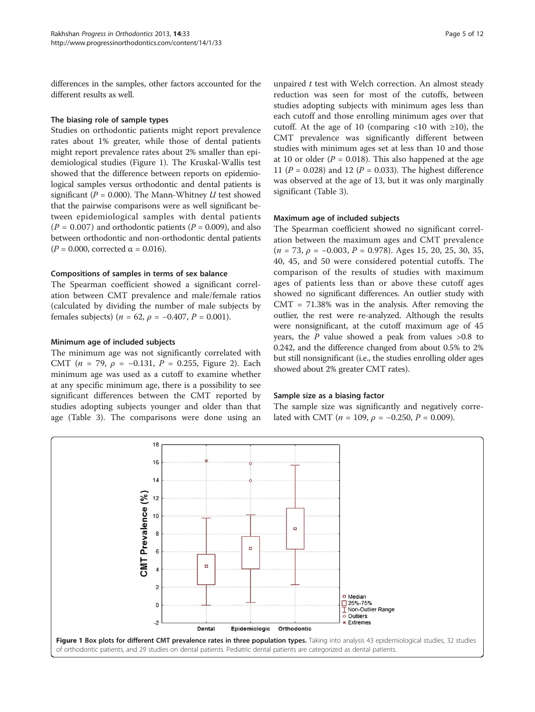<span id="page-4-0"></span>differences in the samples, other factors accounted for the different results as well.

# The biasing role of sample types

Studies on orthodontic patients might report prevalence rates about 1% greater, while those of dental patients might report prevalence rates about 2% smaller than epidemiological studies (Figure 1). The Kruskal-Wallis test showed that the difference between reports on epidemiological samples versus orthodontic and dental patients is significant ( $P = 0.000$ ). The Mann-Whitney U test showed that the pairwise comparisons were as well significant between epidemiological samples with dental patients  $(P = 0.007)$  and orthodontic patients  $(P = 0.009)$ , and also between orthodontic and non-orthodontic dental patients ( $P = 0.000$ , corrected  $\alpha = 0.016$ ).

# Compositions of samples in terms of sex balance

The Spearman coefficient showed a significant correlation between CMT prevalence and male/female ratios (calculated by dividing the number of male subjects by females subjects) ( $n = 62$ ,  $\rho = -0.407$ ,  $P = 0.001$ ).

# Minimum age of included subjects

The minimum age was not significantly correlated with CMT ( $n = 79$ ,  $\rho = -0.131$ ,  $P = 0.255$ , Figure [2\)](#page-5-0). Each minimum age was used as a cutoff to examine whether at any specific minimum age, there is a possibility to see significant differences between the CMT reported by studies adopting subjects younger and older than that age (Table [3\)](#page-5-0). The comparisons were done using an

unpaired  $t$  test with Welch correction. An almost steady reduction was seen for most of the cutoffs, between studies adopting subjects with minimum ages less than each cutoff and those enrolling minimum ages over that cutoff. At the age of 10 (comparing <10 with  $\geq$ 10), the CMT prevalence was significantly different between studies with minimum ages set at less than 10 and those at 10 or older ( $P = 0.018$ ). This also happened at the age 11 ( $P = 0.028$ ) and 12 ( $P = 0.033$ ). The highest difference was observed at the age of 13, but it was only marginally significant (Table [3\)](#page-5-0).

# Maximum age of included subjects

The Spearman coefficient showed no significant correlation between the maximum ages and CMT prevalence  $(n = 73, \rho = -0.003, P = 0.978)$ . Ages 15, 20, 25, 30, 35, 40, 45, and 50 were considered potential cutoffs. The comparison of the results of studies with maximum ages of patients less than or above these cutoff ages showed no significant differences. An outlier study with  $CMT = 71.38\%$  was in the analysis. After removing the outlier, the rest were re-analyzed. Although the results were nonsignificant, at the cutoff maximum age of 45 years, the  $P$  value showed a peak from values  $>0.8$  to 0.242, and the difference changed from about 0.5% to 2% but still nonsignificant (i.e., the studies enrolling older ages showed about 2% greater CMT rates).

## Sample size as a biasing factor

The sample size was significantly and negatively correlated with CMT ( $n = 109$ ,  $\rho = -0.250$ ,  $P = 0.009$ ).

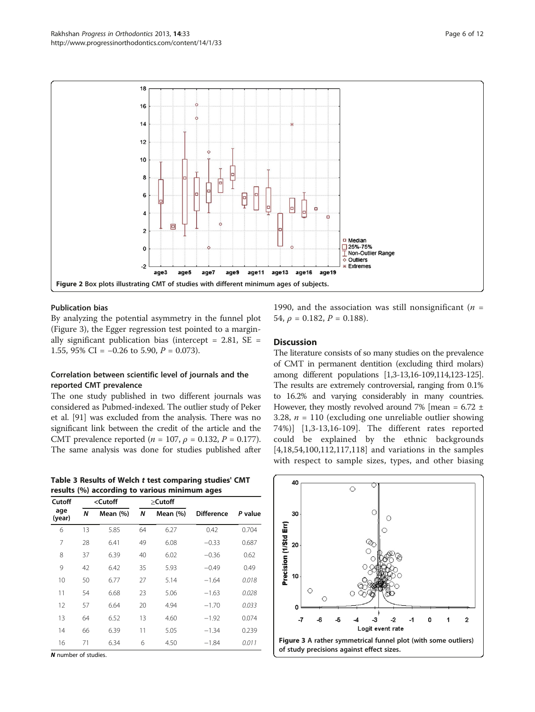

<span id="page-5-0"></span>

# Publication bias

By analyzing the potential asymmetry in the funnel plot (Figure 3), the Egger regression test pointed to a marginally significant publication bias (intercept =  $2.81$ , SE = 1.55, 95% CI =  $-0.26$  to 5.90,  $P = 0.073$ ).

# Correlation between scientific level of journals and the reported CMT prevalence

The one study published in two different journals was considered as Pubmed-indexed. The outlier study of Peker et al. [[91](#page-10-0)] was excluded from the analysis. There was no significant link between the credit of the article and the CMT prevalence reported ( $n = 107$ ,  $\rho = 0.132$ ,  $P = 0.177$ ). The same analysis was done for studies published after

Table 3 Results of Welch t test comparing studies' CMT results (%) according to various minimum ages

| Cutoff        |    | <cutoff< th=""><th></th><th>&gt;Cutoff</th><th></th><th colspan="2" rowspan="2">P value</th></cutoff<> |    | >Cutoff  |                   | P value |  |
|---------------|----|--------------------------------------------------------------------------------------------------------|----|----------|-------------------|---------|--|
| age<br>(year) | N  | Mean (%)                                                                                               | N  | Mean (%) | <b>Difference</b> |         |  |
| 6             | 13 | 5.85                                                                                                   | 64 | 6.27     | 0.42              | 0.704   |  |
| 7             | 28 | 6.41                                                                                                   | 49 | 6.08     | $-0.33$           | 0.687   |  |
| 8             | 37 | 6.39                                                                                                   | 40 | 6.02     | $-0.36$           | 0.62    |  |
| 9             | 42 | 6.42                                                                                                   | 35 | 5.93     | $-0.49$           | 0.49    |  |
| 10            | 50 | 6.77                                                                                                   | 27 | 5.14     | $-1.64$           | 0.018   |  |
| 11            | 54 | 6.68                                                                                                   | 23 | 5.06     | $-1.63$           | 0.028   |  |
| 12            | 57 | 6.64                                                                                                   | 20 | 4.94     | $-1.70$           | 0.033   |  |
| 13            | 64 | 6.52                                                                                                   | 13 | 4.60     | $-1.92$           | 0.074   |  |
| 14            | 66 | 6.39                                                                                                   | 11 | 5.05     | $-1.34$           | 0.239   |  |
| 16            | 71 | 6.34                                                                                                   | 6  | 4.50     | $-1.84$           | 0.011   |  |

N number of studies.

1990, and the association was still nonsignificant ( $n =$ 54,  $\rho = 0.182$ ,  $P = 0.188$ ).

# **Discussion**

The literature consists of so many studies on the prevalence of CMT in permanent dentition (excluding third molars) among different populations [[1,3-13,16](#page-9-0)-[109,114,123-125](#page-11-0)]. The results are extremely controversial, ranging from 0.1% to 16.2% and varying considerably in many countries. However, they mostly revolved around 7% [mean =  $6.72 \pm$ 3.28,  $n = 110$  (excluding one unreliable outlier showing 74%)] [[1,3](#page-9-0)-[13,16](#page-9-0)-[109\]](#page-11-0). The different rates reported could be explained by the ethnic backgrounds [[4,18](#page-9-0)[,54](#page-10-0),[100,](#page-10-0)[112,117,118](#page-11-0)] and variations in the samples with respect to sample sizes, types, and other biasing

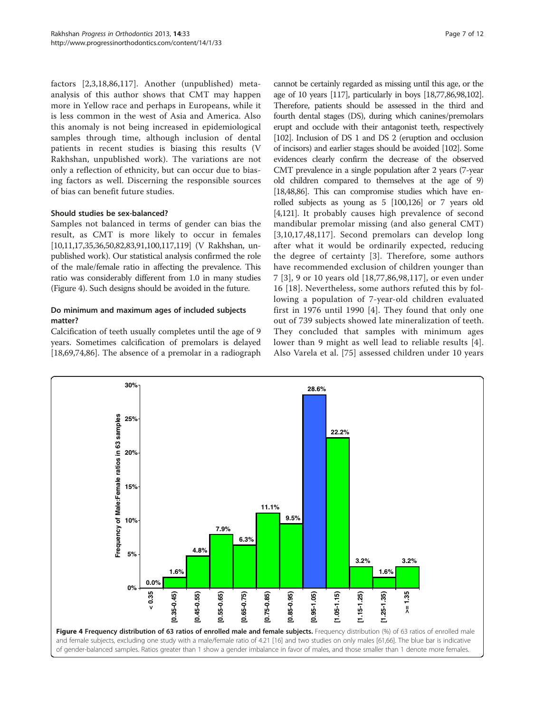factors [[2,3,18](#page-9-0)[,86](#page-10-0),[117\]](#page-11-0). Another (unpublished) metaanalysis of this author shows that CMT may happen more in Yellow race and perhaps in Europeans, while it is less common in the west of Asia and America. Also this anomaly is not being increased in epidemiological samples through time, although inclusion of dental patients in recent studies is biasing this results (V Rakhshan, unpublished work). The variations are not only a reflection of ethnicity, but can occur due to biasing factors as well. Discerning the responsible sources of bias can benefit future studies.

# Should studies be sex-balanced?

Samples not balanced in terms of gender can bias the result, as CMT is more likely to occur in females [[10,11,17,35,36](#page-9-0)[,50,82,83,91,100,](#page-10-0)[117,119](#page-11-0)] (V Rakhshan, unpublished work). Our statistical analysis confirmed the role of the male/female ratio in affecting the prevalence. This ratio was considerably different from 1.0 in many studies (Figure 4). Such designs should be avoided in the future.

# Do minimum and maximum ages of included subjects matter?

Calcification of teeth usually completes until the age of 9 years. Sometimes calcification of premolars is delayed [[18,](#page-9-0)[69,74,86\]](#page-10-0). The absence of a premolar in a radiograph

cannot be certainly regarded as missing until this age, or the age of 10 years [[117\]](#page-11-0), particularly in boys [[18](#page-9-0)[,77,86,98,102\]](#page-10-0). Therefore, patients should be assessed in the third and fourth dental stages (DS), during which canines/premolars erupt and occlude with their antagonist teeth, respectively [[102\]](#page-10-0). Inclusion of DS 1 and DS 2 (eruption and occlusion of incisors) and earlier stages should be avoided [\[102\]](#page-10-0). Some evidences clearly confirm the decrease of the observed CMT prevalence in a single population after 2 years (7-year old children compared to themselves at the age of 9) [[18,48](#page-9-0)[,86](#page-10-0)]. This can compromise studies which have enrolled subjects as young as 5 [\[100](#page-10-0)[,126](#page-11-0)] or 7 years old [[4](#page-9-0)[,121](#page-11-0)]. It probably causes high prevalence of second mandibular premolar missing (and also general CMT) [[3,10,17,48](#page-9-0),[117\]](#page-11-0). Second premolars can develop long after what it would be ordinarily expected, reducing the degree of certainty [[3\]](#page-9-0). Therefore, some authors have recommended exclusion of children younger than 7 [[3](#page-9-0)], 9 or 10 years old [\[18](#page-9-0),[77,86](#page-10-0),[98,](#page-10-0)[117](#page-11-0)], or even under 16 [\[18](#page-9-0)]. Nevertheless, some authors refuted this by following a population of 7-year-old children evaluated first in 1976 until 1990 [[4\]](#page-9-0). They found that only one out of 739 subjects showed late mineralization of teeth. They concluded that samples with minimum ages lower than 9 might as well lead to reliable results [[4](#page-9-0)]. Also Varela et al. [[75\]](#page-10-0) assessed children under 10 years

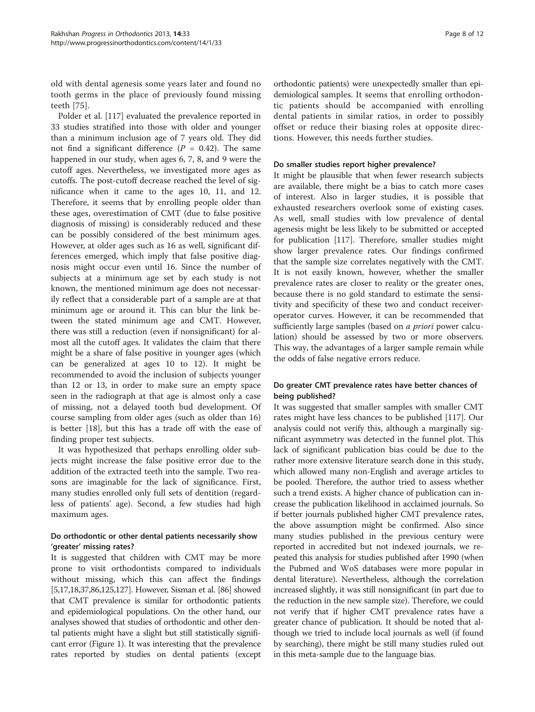old with dental agenesis some years later and found no tooth germs in the place of previously found missing teeth [[75](#page-10-0)].

Polder et al. [[117\]](#page-11-0) evaluated the prevalence reported in 33 studies stratified into those with older and younger than a minimum inclusion age of 7 years old. They did not find a significant difference ( $P = 0.42$ ). The same happened in our study, when ages 6, 7, 8, and 9 were the cutoff ages. Nevertheless, we investigated more ages as cutoffs. The post-cutoff decrease reached the level of significance when it came to the ages 10, 11, and 12. Therefore, it seems that by enrolling people older than these ages, overestimation of CMT (due to false positive diagnosis of missing) is considerably reduced and these can be possibly considered of the best minimum ages. However, at older ages such as 16 as well, significant differences emerged, which imply that false positive diagnosis might occur even until 16. Since the number of subjects at a minimum age set by each study is not known, the mentioned minimum age does not necessarily reflect that a considerable part of a sample are at that minimum age or around it. This can blur the link between the stated minimum age and CMT. However, there was still a reduction (even if nonsignificant) for almost all the cutoff ages. It validates the claim that there might be a share of false positive in younger ages (which can be generalized at ages 10 to 12). It might be recommended to avoid the inclusion of subjects younger than 12 or 13, in order to make sure an empty space seen in the radiograph at that age is almost only a case of missing, not a delayed tooth bud development. Of course sampling from older ages (such as older than 16) is better [[18\]](#page-9-0), but this has a trade off with the ease of finding proper test subjects.

It was hypothesized that perhaps enrolling older subjects might increase the false positive error due to the addition of the extracted teeth into the sample. Two reasons are imaginable for the lack of significance. First, many studies enrolled only full sets of dentition (regardless of patients' age). Second, a few studies had high maximum ages.

# Do orthodontic or other dental patients necessarily show 'greater' missing rates?

It is suggested that children with CMT may be more prone to visit orthodontists compared to individuals without missing, which this can affect the findings [[5,17,18](#page-9-0),[37](#page-9-0)[,86,](#page-10-0)[125,127](#page-11-0)]. However, Sisman et al. [\[86](#page-10-0)] showed that CMT prevalence is similar for orthodontic patients and epidemiological populations. On the other hand, our analyses showed that studies of orthodontic and other dental patients might have a slight but still statistically significant error (Figure [1](#page-4-0)). It was interesting that the prevalence rates reported by studies on dental patients (except orthodontic patients) were unexpectedly smaller than epidemiological samples. It seems that enrolling orthodontic patients should be accompanied with enrolling dental patients in similar ratios, in order to possibly offset or reduce their biasing roles at opposite directions. However, this needs further studies.

# Do smaller studies report higher prevalence?

It might be plausible that when fewer research subjects are available, there might be a bias to catch more cases of interest. Also in larger studies, it is possible that exhausted researchers overlook some of existing cases. As well, small studies with low prevalence of dental agenesis might be less likely to be submitted or accepted for publication [\[117\]](#page-11-0). Therefore, smaller studies might show larger prevalence rates. Our findings confirmed that the sample size correlates negatively with the CMT. It is not easily known, however, whether the smaller prevalence rates are closer to reality or the greater ones, because there is no gold standard to estimate the sensitivity and specificity of these two and conduct receiveroperator curves. However, it can be recommended that sufficiently large samples (based on *a priori* power calculation) should be assessed by two or more observers. This way, the advantages of a larger sample remain while the odds of false negative errors reduce.

# Do greater CMT prevalence rates have better chances of being published?

It was suggested that smaller samples with smaller CMT rates might have less chances to be published [[117](#page-11-0)]. Our analysis could not verify this, although a marginally significant asymmetry was detected in the funnel plot. This lack of significant publication bias could be due to the rather more extensive literature search done in this study, which allowed many non-English and average articles to be pooled. Therefore, the author tried to assess whether such a trend exists. A higher chance of publication can increase the publication likelihood in acclaimed journals. So if better journals published higher CMT prevalence rates, the above assumption might be confirmed. Also since many studies published in the previous century were reported in accredited but not indexed journals, we repeated this analysis for studies published after 1990 (when the Pubmed and WoS databases were more popular in dental literature). Nevertheless, although the correlation increased slightly, it was still nonsignificant (in part due to the reduction in the new sample size). Therefore, we could not verify that if higher CMT prevalence rates have a greater chance of publication. It should be noted that although we tried to include local journals as well (if found by searching), there might be still many studies ruled out in this meta-sample due to the language bias.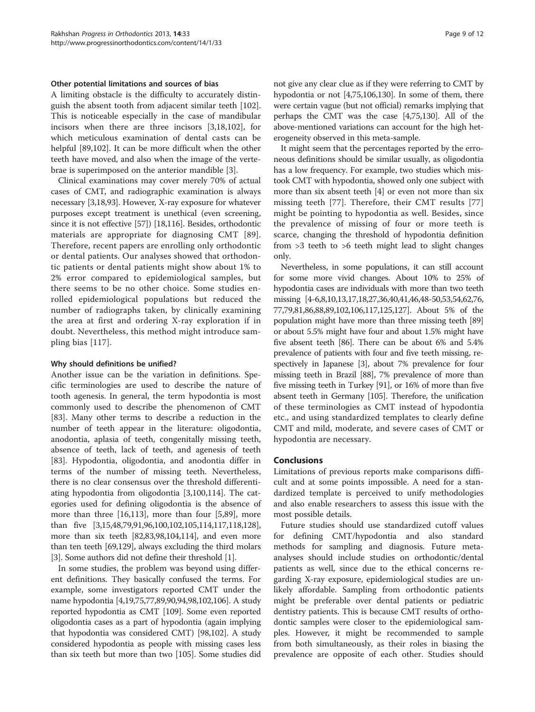# Other potential limitations and sources of bias

A limiting obstacle is the difficulty to accurately distinguish the absent tooth from adjacent similar teeth [\[102](#page-10-0)]. This is noticeable especially in the case of mandibular incisors when there are three incisors [[3,18,](#page-9-0)[102\]](#page-10-0), for which meticulous examination of dental casts can be helpful [[89,102](#page-10-0)]. It can be more difficult when the other teeth have moved, and also when the image of the vertebrae is superimposed on the anterior mandible [[3\]](#page-9-0).

Clinical examinations may cover merely 70% of actual cases of CMT, and radiographic examination is always necessary [\[3,18](#page-9-0)[,93\]](#page-10-0). However, X-ray exposure for whatever purposes except treatment is unethical (even screening, since it is not effective [[57](#page-10-0)]) [\[18](#page-9-0)[,116\]](#page-11-0). Besides, orthodontic materials are appropriate for diagnosing CMT [[89](#page-10-0)]. Therefore, recent papers are enrolling only orthodontic or dental patients. Our analyses showed that orthodontic patients or dental patients might show about 1% to 2% error compared to epidemiological samples, but there seems to be no other choice. Some studies enrolled epidemiological populations but reduced the number of radiographs taken, by clinically examining the area at first and ordering X-ray exploration if in doubt. Nevertheless, this method might introduce sampling bias [[117\]](#page-11-0).

# Why should definitions be unified?

Another issue can be the variation in definitions. Specific terminologies are used to describe the nature of tooth agenesis. In general, the term hypodontia is most commonly used to describe the phenomenon of CMT [[83\]](#page-10-0). Many other terms to describe a reduction in the number of teeth appear in the literature: oligodontia, anodontia, aplasia of teeth, congenitally missing teeth, absence of teeth, lack of teeth, and agenesis of teeth [[83\]](#page-10-0). Hypodontia, oligodontia, and anodontia differ in terms of the number of missing teeth. Nevertheless, there is no clear consensus over the threshold differentiating hypodontia from oligodontia [\[3](#page-9-0)[,100](#page-10-0)[,114\]](#page-11-0). The categories used for defining oligodontia is the absence of more than three [[16](#page-9-0)[,113](#page-11-0)], more than four [[5,](#page-9-0)[89\]](#page-10-0), more than five [\[3,15,48,](#page-9-0)[79,91,96,100,102,](#page-10-0)[105,114,117,118,128](#page-11-0)], more than six teeth [[82](#page-10-0),[83,98,](#page-10-0)[104,114\]](#page-11-0), and even more than ten teeth [[69](#page-10-0),[129](#page-11-0)], always excluding the third molars [[3\]](#page-9-0). Some authors did not define their threshold [\[1](#page-9-0)].

In some studies, the problem was beyond using different definitions. They basically confused the terms. For example, some investigators reported CMT under the name hypodontia [\[4,19,](#page-9-0)[75,77,89,90,94,98,102](#page-10-0)[,106\]](#page-11-0). A study reported hypodontia as CMT [\[109\]](#page-11-0). Some even reported oligodontia cases as a part of hypodontia (again implying that hypodontia was considered CMT) [\[98,102](#page-10-0)]. A study considered hypodontia as people with missing cases less than six teeth but more than two [\[105](#page-11-0)]. Some studies did

not give any clear clue as if they were referring to CMT by hypodontia or not [\[4](#page-9-0)[,75](#page-10-0)[,106,130](#page-11-0)]. In some of them, there were certain vague (but not official) remarks implying that perhaps the CMT was the case [\[4](#page-9-0)[,75,](#page-10-0)[130](#page-11-0)]. All of the above-mentioned variations can account for the high heterogeneity observed in this meta-sample.

It might seem that the percentages reported by the erroneous definitions should be similar usually, as oligodontia has a low frequency. For example, two studies which mistook CMT with hypodontia, showed only one subject with more than six absent teeth [\[4](#page-9-0)] or even not more than six missing teeth [[77](#page-10-0)]. Therefore, their CMT results [\[77](#page-10-0)] might be pointing to hypodontia as well. Besides, since the prevalence of missing of four or more teeth is scarce, changing the threshold of hypodontia definition from >3 teeth to >6 teeth might lead to slight changes only.

Nevertheless, in some populations, it can still account for some more vivid changes. About 10% to 25% of hypodontia cases are individuals with more than two teeth missing [[4](#page-9-0)-[6,8,10,13,17,18,27,36,40,41,46,48](#page-9-0)[-50,53,54,62,76](#page-10-0), [77,79,81,86,88,89,102](#page-10-0)[,106,117,125,127](#page-11-0)]. About 5% of the population might have more than three missing teeth [\[89](#page-10-0)] or about 5.5% might have four and about 1.5% might have five absent teeth [[86](#page-10-0)]. There can be about 6% and 5.4% prevalence of patients with four and five teeth missing, respectively in Japanese [\[3](#page-9-0)], about 7% prevalence for four missing teeth in Brazil [[88](#page-10-0)], 7% prevalence of more than five missing teeth in Turkey [[91](#page-10-0)], or 16% of more than five absent teeth in Germany [\[105\]](#page-11-0). Therefore, the unification of these terminologies as CMT instead of hypodontia etc., and using standardized templates to clearly define CMT and mild, moderate, and severe cases of CMT or hypodontia are necessary.

# **Conclusions**

Limitations of previous reports make comparisons difficult and at some points impossible. A need for a standardized template is perceived to unify methodologies and also enable researchers to assess this issue with the most possible details.

Future studies should use standardized cutoff values for defining CMT/hypodontia and also standard methods for sampling and diagnosis. Future metaanalyses should include studies on orthodontic/dental patients as well, since due to the ethical concerns regarding X-ray exposure, epidemiological studies are unlikely affordable. Sampling from orthodontic patients might be preferable over dental patients or pediatric dentistry patients. This is because CMT results of orthodontic samples were closer to the epidemiological samples. However, it might be recommended to sample from both simultaneously, as their roles in biasing the prevalence are opposite of each other. Studies should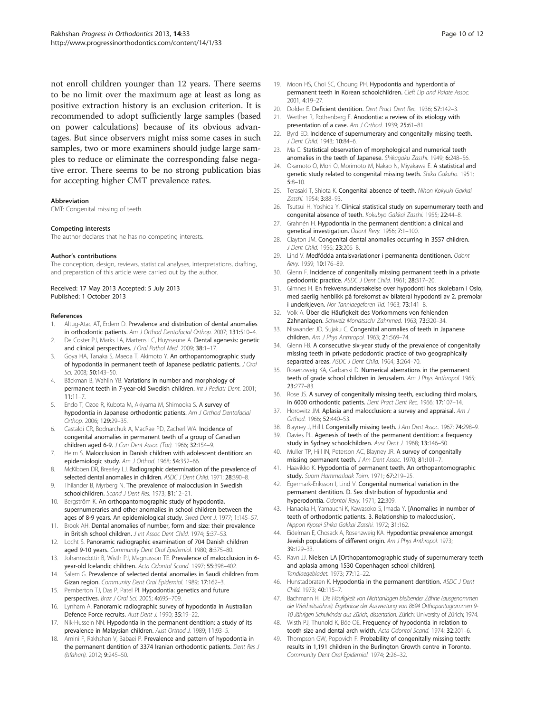<span id="page-9-0"></span>not enroll children younger than 12 years. There seems to be no limit over the maximum age at least as long as positive extraction history is an exclusion criterion. It is recommended to adopt sufficiently large samples (based on power calculations) because of its obvious advantages. But since observers might miss some cases in such samples, two or more examiners should judge large samples to reduce or eliminate the corresponding false negative error. There seems to be no strong publication bias for accepting higher CMT prevalence rates.

#### Abbreviation

CMT: Congenital missing of teeth.

#### Competing interests

The author declares that he has no competing interests.

### Author's contributions

The conception, design, reviews, statistical analyses, interpretations, drafting, and preparation of this article were carried out by the author.

### Received: 17 May 2013 Accepted: 5 July 2013 Published: 1 October 2013

#### References

- 1. Altug-Atac AT, Erdem D. Prevalence and distribution of dental anomalies in orthodontic patients. Am J Orthod Dentofacial Orthop. 2007; 131:510–4.
- 2. De Coster PJ, Marks LA, Martens LC, Huysseune A. Dental agenesis: genetic and clinical perspectives. J Oral Pathol Med. 2009; 38:1-17.
- Goya HA, Tanaka S, Maeda T, Akimoto Y. An orthopantomographic study of hypodontia in permanent teeth of Japanese pediatric patients. J Oral Sci. 2008; 50:143–50.
- 4. Bäckman B, Wahlin YB. Variations in number and morphology of permanent teeth in 7-year-old Swedish children. Int J Pediatr Dent. 2001; 11:11–7.
- Endo T, Ozoe R, Kubota M, Akiyama M, Shimooka S. A survey of hypodontia in Japanese orthodontic patients. Am J Orthod Dentofacial Orthop. 2006; 129:29–35.
- 6. Castaldi CR, Bodnarchuk A, MacRae PD, Zacherl WA. Incidence of congenital anomalies in permanent teeth of a group of Canadian children aged 6-9. J Can Dent Assoc (Tor). 1966; 32:154–9.
- 7. Helm S. Malocclusion in Danish children with adolescent dentition: an epidemiologic study. Am J Orthod. 1968; 54:352–66.
- McKibben DR, Brearley LJ. Radiographic determination of the prevalence of selected dental anomalies in children. ASDC J Dent Child. 1971; 28:390-8.
- 9. Thilander B, Myrberg N. The prevalence of malocclusion in Swedish schoolchildren. Scand J Dent Res. 1973; 81:12-21.
- 10. Bergström K. An orthopantomographic study of hypodontia, supernumeraries and other anomalies in school children between the ages of 8-9 years. An epidemiological study. Swed Dent J. 1977; 1:145–57.
- 11. Brook AH. Dental anomalies of number, form and size: their prevalence in British school children. J Int Assoc Dent Child. 1974; 5:37-53.
- 12. Locht S. Panoramic radiographic examination of 704 Danish children aged 9-10 years. Community Dent Oral Epidemiol. 1980; 8:375–80.
- 13. Johannsdottir B, Wisth PJ, Magnusson TE. Prevalence of malocclusion in 6year-old Icelandic children. Acta Odontol Scand. 1997; 55:398–402.
- 14. Salem G. Prevalence of selected dental anomalies in Saudi children from Gizan region. Community Dent Oral Epidemiol. 1989; 17:162–3.
- 15. Pemberton TJ, Das P, Patel PI. Hypodontia: genetics and future perspectives. Braz J Oral Sci. 2005; 4:695–709.
- 16. Lynham A. Panoramic radiographic survey of hypodontia in Australian Defence Force recruits. Aust Dent J. 1990; 35:19–22.
- 17. Nik-Hussein NN. Hypodontia in the permanent dentition: a study of its prevalence in Malaysian children. Aust Orthod J. 1989; 11:93–5.
- 18. Amini F, Rakhshan V, Babaei P. Prevalence and pattern of hypodontia in the permanent dentition of 3374 Iranian orthodontic patients. Dent Res J (Isfahan). 2012; 9:245–50.
- 
- 19. Moon HS, Choi SC, Choung PH. Hypodontia and hyperdontia of permanent teeth in Korean schoolchildren. Cleft Lip and Palate Assoc. 2001; 4:19–27.
- 20. Dolder E. Deficient dentition. Dent Pract Dent Rec. 1936: 57:142-3.
- 21. Werther R, Rothenberg F. Anodontia: a review of its etiology with presentation of a case. Am J Orthod. 1939; 25:61-81.
- 22. Byrd ED. Incidence of supernumerary and congenitally missing teeth. J Dent Child. 1943; 10:84–6.
- 23. Ma C. Statistical observation of morphological and numerical teeth anomalies in the teeth of Japanese. Shikagaku Zasshi. 1949; 6:248-56.
- 24. Okamoto O, Mori O, Morimoto M, Nakao N, Miyakawa E. A statistical and genetic study related to congenital missing teeth. Shika Gakuho. 1951; 5:8–10.
- 25. Terasaki T, Shiota K. Congenital absence of teeth. Nihon Kokyuki Gakkai Zasshi. 1954; 3:88-93.
- 26. Tsutsui H, Yoshida Y. Clinical statistical study on supernumerary teeth and congenital absence of teeth. Kokubyo Gakkai Zasshi. 1955; 22:44–8.
- 27. Grahnén H. Hypodontia in the permanent dentition: a clinical and genetical investigation. Odont Revy. 1956; 7:1–100.
- 28. Clayton JM. Congenital dental anomalies occurring in 3557 children. J Dent Child. 1956; 23:206–8.
- 29. Lind V. Medfödda antalsvariationer i permanenta dentitionen. Odont Revy. 1959; 10:176–89.
- 30. Glenn F. Incidence of congenitally missing permanent teeth in a private pedodontic practice. ASDC J Dent Child. 1961; 28:317–20.
- 31. Gimnes H. En frekvensundersøkelse over hypodonti hos skolebarn i Oslo, med saerlig henblikk på forekomst av bilateral hypodonti av 2. premolar i underkjeven. Nor Tannlaegeforen Tid. 1963; 73:141-8.
- 32. Volk A. Über die Häufigkeit des Vorkommens von fehlenden Zahnanlagen. Schweiz Monatsschr Zahnmed. 1963; 73:320–34.
- 33. Niswander JD, Sujaku C. Congenital anomalies of teeth in Japanese children. Am J Phys Anthropol. 1963; 21:569–74.
- 34. Glenn FB. A consecutive six-year study of the prevalence of congenitally missing teeth in private pedodontic practice of two geographically separated areas. ASDC J Dent Child. 1964; 3:264-70.
- Rosenzweig KA, Garbarski D. Numerical aberrations in the permanent teeth of grade school children in Jerusalem. Am J Phys Anthropol. 1965; 23:277–83.
- 36. Rose JS. A survey of congenitally missing teeth, excluding third molars, in 6000 orthodontic patients. Dent Pract Dent Rec. 1966; 17:107–14.
- 37. Horowitz JM. Aplasia and malocclusion: a survey and appraisal. Am J Orthod. 1966; 52:440–53.
- 38. Blayney J, Hill I. Congenitally missing teeth. J Am Dent Assoc. 1967; 74:298-9.
- 39. Davies PL. Agenesis of teeth of the permanent dentition: a frequency study in Sydney schoolchildren. Aust Dent J. 1968; 13:146–50.
- 40. Muller TP, Hill IN, Peterson AC, Blayney JR. A survey of congenitally missing permanent teeth. J Am Dent Assoc. 1970; 81:101-7.
- 41. Haavikko K. Hypodontia of permanent teeth. An orthopantomographic study. Suom Hammaslaak Toim. 1971; 67:219-25.
- 42. Egermark-Eriksson I, Lind V. Congenital numerical variation in the permanent dentition. D. Sex distribution of hypodontia and hyperodontia. Odontol Revy. 1971; 22:309.
- 43. Hanaoka H, Yamauchi K, Kawasoko S, Imada Y. [Anomalies in number of teeth of orthodontic patients. 3. Relationship to malocclusion]. Nippon Kyosei Shika Gakkai Zasshi. 1972; 31:162.
- 44. Eidelman E, Chosack A, Rosenzweig KA. Hypodontia: prevalence amongst Jewish populations of different origin. Am J Phys Anthropol. 1973; 39:129–33.
- 45. Ravn JJ. Nielsen LA [Orthopantomographic study of supernumerary teeth and aplasia among 1530 Copenhagen school children]. Tandlaegebladet. 1973; 77:12–22.
- 46. Hunstadbraten K. Hypodontia in the permanent dentition. ASDC J Dent Child. 1973; 40:115–7.
- 47. Bachmann H. Die Häufigkeit von Nichtanlagen bleibender Zähne (ausgenommen der Weisheitszähne). Ergebnisse der Auswertung von 8694 Orthopantogrammen 9- 10 Jährigen Schulkinder aus Zürich, dissertation. Zürich: University of Zürich; 1974.
- 48. Wisth PJ, Thunold K, Böe OE. Frequency of hypodontia in relation to tooth size and dental arch width. Acta Odontol Scand. 1974; 32:201–6.
- 49. Thompson GW, Popovich F. Probability of congenitally missing teeth: results in 1,191 children in the Burlington Growth centre in Toronto. Community Dent Oral Epidemiol. 1974; 2:26–32.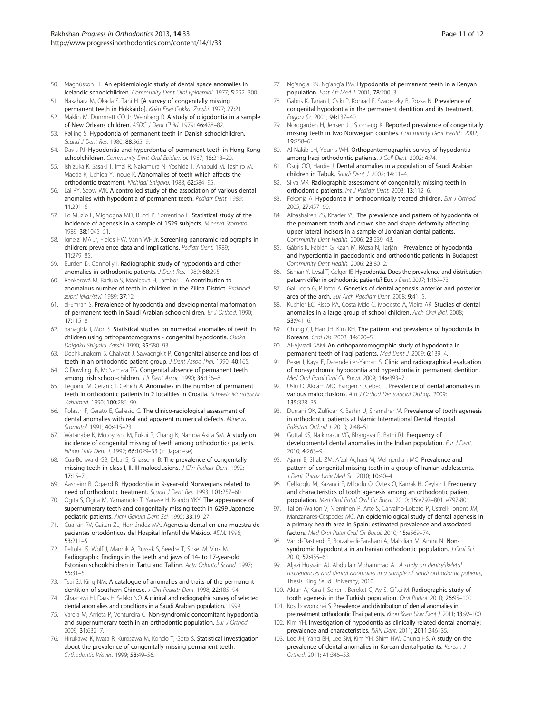- <span id="page-10-0"></span>50. Magnússon TE. An epidemiologic study of dental space anomalies in Icelandic schoolchildren. Community Dent Oral Epidemiol. 1977; 5:292–300.
- 51. Nakahara M, Okada S, Tani H. [A survey of congenitally missing permanent teeth in Hokkaido]. Koku Eisei Gakkai Zasshi. 1977; 27:21.
- 52. Maklin M, Dummett CO Jr, Weinberg R. A study of oligodontia in a sample of New Orleans children. ASDC J Dent Child. 1979; 46:478–82.
- 53. Rølling S. Hypodontia of permanent teeth in Danish schoolchildren. Scand J Dent Res. 1980; 88:365–9.
- 54. Davis PJ. Hypodontia and hyperdontia of permanent teeth in Hong Kong schoolchildren. Community Dent Oral Epidemiol. 1987; 15:218–20.
- 55. Ishizuka K, Sasaki T, Imai R, Nakamura N, Yoshida T, Anabuki M, Tashiro M, Maeda K, Uchida Y, Inoue K. Abnomalies of teeth which affects the orthodontic treatment. Nichidai Shigaku. 1988; 62:584–95.
- 56. Lai PY, Seow WK. A controlled study of the association of various dental anomalies with hypodontia of permanent teeth. Pediatr Dent. 1989;  $11:291–6$
- 57. Lo Muzio L, Mignogna MD, Bucci P, Sorrentino F. Statistical study of the incidence of agenesis in a sample of 1529 subjects. Minerva Stomatol. 1989; 38:1045–51.
- 58. Ignelzi MA Jr, Fields HW, Vann WF Jr. Screening panoramic radiographs in children: prevalence data and implications. Pediatr Dent. 1989; 11:279–85.
- 59. Burden D, Connolly I. Radiographic study of hypodontia and other anomalies in orthodontic patients. J Dent Res. 1989; 68:295.
- 60. Renkerová M, Badura S, Manicová H, Jambor J. A contribution to anomalous number of teeth in children in the Zilina District. Praktické zubní lékar?ství. 1989; 37:12.
- 61. al-Emran S. Prevalence of hypodontia and developmental malformation of permanent teeth in Saudi Arabian schoolchildren. Br J Orthod. 1990; 17:115–8.
- 62. Yanagida I, Mori S. Statistical studies on numerical anomalies of teeth in children using orthopantomograms - congenital hypodontia. Osaka Daigaku Shigaku Zasshi. 1990; 35:580–93.
- 63. Dechkunakorn S, Chaiwat J, Sawaengkit P. Congenital absence and loss of teeth in an orthodontic patient group. J Dent Assoc Thai. 1990; 40:165.
- 64. O'Dowling IB, McNamara TG. Congenital absence of permanent teeth among Irish school-children. J Ir Dent Assoc. 1990; 36:136–8.
- 65. Legonic M, Ceranic I, Cehich A. Anomalies in the number of permanent teeth in orthodontic patients in 2 localities in Croatia. Schweiz Monatsschr Zahnmed. 1990; 100:286-90.
- 66. Polastri F, Cerato E, Gallesio C. The clinico-radiological assessment of dental anomalies with real and apparent numerical defects. Minerva Stomatol. 1991; 40:415–23.
- 67. Watanabe K, Motoyoshi M, Fukui R, Chang K, Namba Akira SM. A study on incidence of congenital missing of teeth among orthodontics patients. Nihon Univ Dent J. 1992; 66:1029–33 (in Japanese).
- 68. Cua-Benward GB, Dibaj S, Ghassemi B. The prevalence of congenitally missing teeth in class I, II, III malocclusions. J Clin Pediatr Dent. 1992; 17:15–7.
- 69. Aasheim B, Ogaard B. Hypodontia in 9-year-old Norwegians related to need of orthodontic treatment. Scand J Dent Res. 1993; 101:257–60.
- 70. Ogita S, Ogita M, Yamamoto T, Yanase H, Kondo YKY. The appearance of supernumerary teeth and congenitally missing teeth in 6299 Japanese pediatric patients. Aichi Gakuin Dent Sci. 1995; 33:19–27.
- 71. Cuairán RV, Gaitan ZL, Hernández MA. Agenesia dental en una muestra de pacientes ortodónticos del Hospital Infantil de México. ADM. 1996; 53:211–5.
- 72. Peltola JS, Wolf J, Mannik A, Russak S, Seedre T, Sirkel M, Vink M. Radiographic findings in the teeth and jaws of 14- to 17-year-old Estonian schoolchildren in Tartu and Tallinn. Acta Odontol Scand. 1997; 55:31–5.
- 73. Tsai SJ, King NM. A catalogue of anomalies and traits of the permanent dentition of southern Chinese. J Clin Pediatr Dent. 1998; 22:185-94.
- 74. Ghaznawi HI, Daas H, Salako NO. A clinical and radiographic survey of selected dental anomalies and conditions in a Saudi Arabian population. 1999.
- 75. Varela M, Arrieta P, Ventureira C. Non-syndromic concomitant hypodontia and supernumerary teeth in an orthodontic population. Eur J Orthod. 2009; 31:632–7.
- 76. Hirukawa K, Iwata R, Kurosawa M, Kondo T, Goto S. Statistical investigation about the prevalence of congenitally missing permanent teeth. Orthodontic Waves. 1999; 58:49–56.
- 77. Ng'ang'a RN, Ng'ang'a PM. Hypodontia of permanent teeth in a Kenyan population. East Afr Med J. 2001; 78:200–3.
- 78. Gabris K, Tarjan I, Csiki P, Konrad F, Szadeczky B, Rozsa N. Prevalence of congenital hypodontia in the permanent dentition and its treatment. Fogorv Sz. 2001; 94:137–40.
- 79. Nordgarden H, Jensen JL, Storhaug K. Reported prevalence of congenitally missing teeth in two Norwegian counties. Community Dent Health. 2002; 19:258–61.
- 80. Al-Nakib LH, Younis WH. Orthopantomographic survey of hypodontia among Iraqi orthodontic patients. J Coll Dent. 2002; 4:74.
- Osuji OO, Hardie J. Dental anomalies in a population of Saudi Arabian children in Tabuk. Saudi Dent J. 2002; 14:11-4.
- 82. Silva MR. Radiographic assessment of congenitally missing teeth in orthodontic patients. Int J Pediatr Dent. 2003; 13:112–6.
- 83. Fekonja A. Hypodontia in orthodontically treated children. Eur J Orthod. 2005; 27:457–60.
- 84. Albashaireh ZS, Khader YS. The prevalence and pattern of hypodontia of the permanent teeth and crown size and shape deformity affecting upper lateral incisors in a sample of Jordanian dental patients. Community Dent Health. 2006; 23:239–43.
- 85. Gábris K, Fábián G, Kaán M, Rózsa N, Tarján I. Prevalence of hypodontia and hyperdontia in paedodontic and orthodontic patients in Budapest. Community Dent Health. 2006; 23:80–2.
- 86. Sisman Y, Uysal T, Gelgor IE. Hypodontia. Does the prevalence and distribution pattern differ in orthodontic patients? Eur. J Dent. 2007; 1:167-73.
- 87. Galluccio G, Pilotto A. Genetics of dental agenesis: anterior and posterior area of the arch. Eur Arch Paediatr Dent. 2008; 9:41-5.
- 88. Kuchler EC, Risso PA, Costa Mde C, Modesto A, Vieira AR. Studies of dental anomalies in a large group of school children. Arch Oral Biol. 2008; 53:941–6.
- 89. Chung CJ, Han JH, Kim KH. The pattern and prevalence of hypodontia in Koreans. Oral Dis. 2008; 14:620–5.
- 90. Al-Ajwadi SAM. An orthopantomographic study of hypodontia in permanent teeth of Iraqi patients. Med Dent J. 2009; 6:139-4.
- 91. Peker I, Kaya E, Darendeliler-Yaman S. Clinic and radiographical evaluation of non-syndromic hypodontia and hyperdontia in permanent dentition. Med Oral Patol Oral Cir Bucal. 2009; 14:e393–7.
- 92. Uslu O, Akcam MO, Evirgen S, Cebeci I. Prevalence of dental anomalies in various malocclusions. Am J Orthod Dentofacial Orthop. 2009; 135:328–35.
- 93. Durrani OK, Zulfigar K, Bashir U, Shamsher M. Prevalence of tooth agenesis in orthodontic patients at Islamic International Dental Hospital. Pakistan Orthod J. 2010; 2:48-51.
- 94. Guttal KS, Naikmasur VG, Bhargava P, Bathi RJ. Frequency of developmental dental anomalies in the Indian population. Eur J Dent. 2010; 4:263–9.
- 95. Ajami B, Shab ZM, Afzal Aghaei M, Mehrjerdian MC. Prevalence and pattern of congenital missing teeth in a group of Iranian adolescents. J Dent Shiraz Univ Med Sci. 2010; 10:40–4.
- 96. Celikoglu M, Kazanci F, Miloglu O, Oztek O, Kamak H, Ceylan I. Frequency and characteristics of tooth agenesis among an orthodontic patient population. Med Oral Patol Oral Cir Bucal. 2010; 15:e797–801. e797-801.
- 97. Tallón-Walton V, Nieminen P, Arte S, Carvalho-Lobato P, Ustrell-Torrent JM, Manzanares-Céspedes MC. An epidemiological study of dental agenesis in a primary health area in Spain: estimated prevalence and associated factors. Med Oral Patol Oral Cir Bucal. 2010; 15:e569–74.
- Vahid-Dastjerdi E, Borzabadi-Farahani A, Mahdian M, Amini N. Nonsyndromic hypodontia in an Iranian orthodontic population. J Oral Sci. 2010; 52:455–61.
- 99. Aljazi Hussain AJ, Abdullah Mohammad A. A study on dento/skeletal discrepancies and dental anomalies in a sample of Saudi orthodontic patients, Thesis. King Saud University; 2010.
- 100. Aktan A, Kara I, Sener I, Bereket C, Ay S, Çiftçi M. Radiographic study of tooth agenesis in the Turkish population. Oral Radiol. 2010; 26:95–100.
- 101. Kositbowornchai S. Prevalence and distribution of dental anomalies in pretreatment orthodontic Thai patients. Khon Kaen Univ Dent J. 2011; 13:92-100.
- 102. Kim YH. Investigation of hypodontia as clinically related dental anomaly: prevalence and characteristics. ISRN Dent. 2011; 2011:246135
- 103. Lee JH, Yang BH, Lee SM, Kim YH, Shim HW, Chung HS. A study on the prevalence of dental anomalies in Korean dental-patients. Korean J Orthod. 2011; 41:346–53.